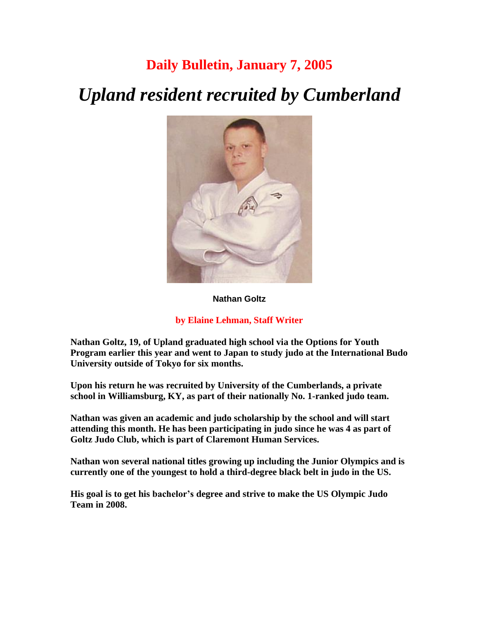## **Daily Bulletin, January 7, 2005**

# *Upland resident recruited by Cumberland*



#### **Nathan Goltz**

#### **by Elaine Lehman, Staff Writer**

**Nathan Goltz, 19, of Upland graduated high school via the Options for Youth Program earlier this year and went to Japan to study judo at the International Budo University outside of Tokyo for six months.** 

**Upon his return he was recruited by University of the Cumberlands, a private school in Williamsburg, KY, as part of their nationally No. 1-ranked judo team.**

**Nathan was given an academic and judo scholarship by the school and will start attending this month. He has been participating in judo since he was 4 as part of Goltz Judo Club, which is part of Claremont Human Services.** 

**Nathan won several national titles growing up including the Junior Olympics and is currently one of the youngest to hold a third-degree black belt in judo in the US.** 

**His goal is to get his bachelor's degree and strive to make the US Olympic Judo Team in 2008.**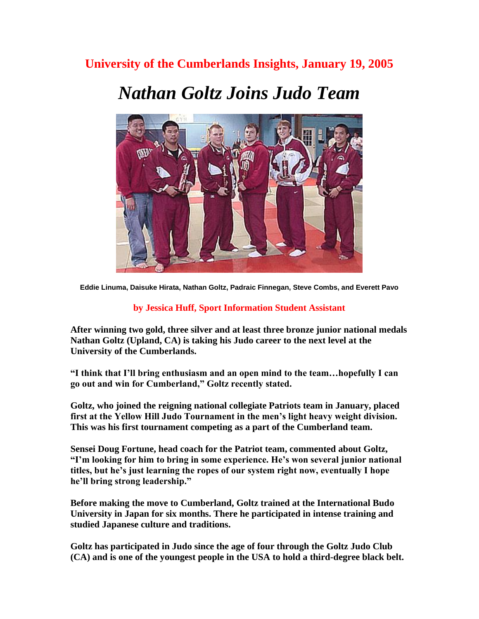## **University of the Cumberlands Insights, January 19, 2005**

## *Nathan Goltz Joins Judo Team*



**Eddie Linuma, Daisuke Hirata, Nathan Goltz, Padraic Finnegan, Steve Combs, and Everett Pavo** 

### **by Jessica Huff, Sport Information Student Assistant**

**After winning two gold, three silver and at least three bronze junior national medals Nathan Goltz (Upland, CA) is taking his Judo career to the next level at the University of the Cumberlands.** 

**"I think that I'll bring enthusiasm and an open mind to the team…hopefully I can go out and win for Cumberland," Goltz recently stated.** 

**Goltz, who joined the reigning national collegiate Patriots team in January, placed first at the Yellow Hill Judo Tournament in the men's light heavy weight division. This was his first tournament competing as a part of the Cumberland team.** 

**Sensei Doug Fortune, head coach for the Patriot team, commented about Goltz, "I'm looking for him to bring in some experience. He's won several junior national titles, but he's just learning the ropes of our system right now, eventually I hope he'll bring strong leadership."** 

**Before making the move to Cumberland, Goltz trained at the International Budo University in Japan for six months. There he participated in intense training and studied Japanese culture and traditions.** 

**Goltz has participated in Judo since the age of four through the Goltz Judo Club (CA) and is one of the youngest people in the USA to hold a third-degree black belt.**